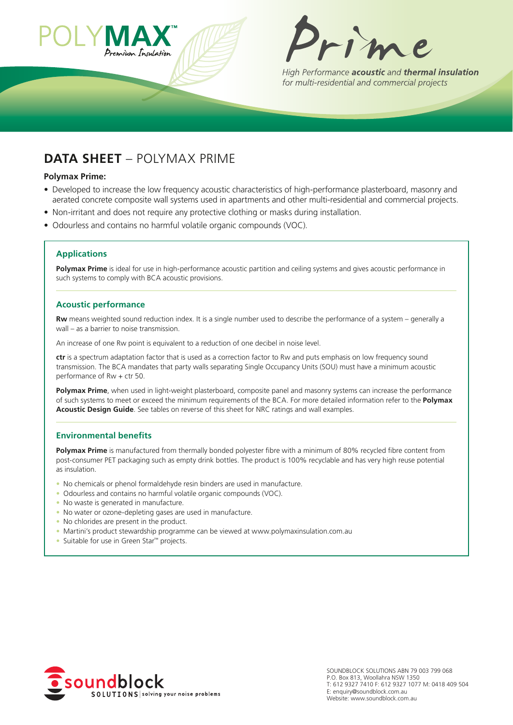



High Performance acoustic and thermal insulation for multi-residential and commercial projects

# **Data shEEt** – PoLyMax PRIME

#### **Polymax Prime:**

- Developed to increase the low frequency acoustic characteristics of high‑performance plasterboard, masonry and aerated concrete composite wall systems used in apartments and other multi-residential and commercial projects.
- Non‑irritant and does not require any protective clothing or masks during installation.
- odourless and contains no harmful volatile organic compounds (VoC).

### **applications**

Polymax Prime is ideal for use in high-performance acoustic partition and ceiling systems and gives acoustic performance in such systems to comply with BCA acoustic provisions.

#### **acoustic performance**

**Rw** means weighted sound reduction index. It is a single number used to describe the performance of a system – generally a wall – as a barrier to noise transmission.

an increase of one Rw point is equivalent to a reduction of one decibel in noise level.

**ctr** is a spectrum adaptation factor that is used as a correction factor to Rw and puts emphasis on low frequency sound transmission. The BCa mandates that party walls separating Single occupancy Units (SoU) must have a minimum acoustic performance of Rw + ctr 50.

Polymax Prime, when used in light-weight plasterboard, composite panel and masonry systems can increase the performance of such systems to meet or exceed the minimum requirements of the BCa. For more detailed information refer to the **Polymax acoustic Design Guide**. See tables on reverse of this sheet for NRC ratings and wall examples.

#### **Environmental benefits**

**Polymax Prime** is manufactured from thermally bonded polyester fibre with a minimum of 80% recycled fibre content from post-consumer PET packaging such as empty drink bottles. The product is 100% recyclable and has very high reuse potential as insulation.

- No chemicals or phenol formaldehyde resin binders are used in manufacture.
- odourless and contains no harmful volatile organic compounds (VoC).
- No waste is generated in manufacture.
- No water or ozone-depleting gases are used in manufacture.
- No chlorides are present in the product.
- Martini's product stewardship programme can be viewed at www.polymaxinsulation.com.au
- Suitable for use in Green Star™ projects.